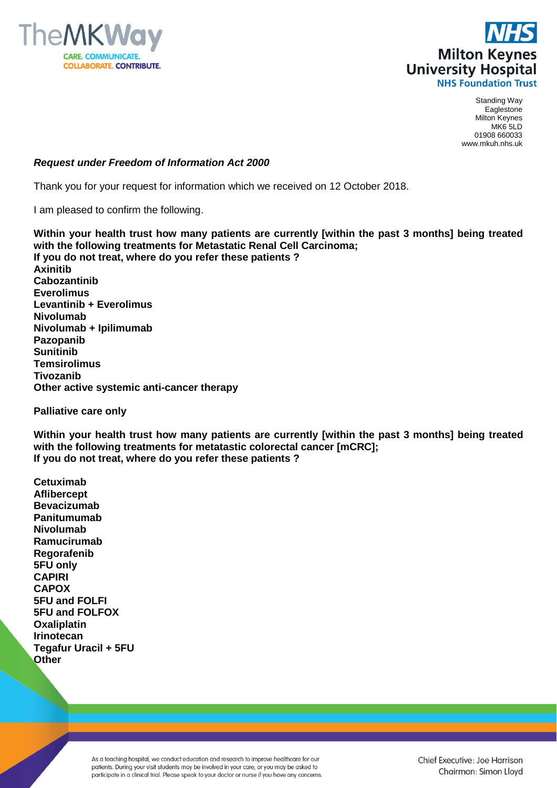



Standing Way Eaglestone Milton Keynes MK6 5LD 01908 660033 www.mkuh.nhs.uk

## *Request under Freedom of Information Act 2000*

Thank you for your request for information which we received on 12 October 2018.

I am pleased to confirm the following.

**Within your health trust how many patients are currently [within the past 3 months] being treated with the following treatments for Metastatic Renal Cell Carcinoma; If you do not treat, where do you refer these patients ? Axinitib Cabozantinib Everolimus Levantinib + Everolimus Nivolumab Nivolumab + Ipilimumab Pazopanib Sunitinib Temsirolimus Tivozanib Other active systemic anti-cancer therapy**

**Palliative care only**

**Within your health trust how many patients are currently [within the past 3 months] being treated with the following treatments for metatastic colorectal cancer [mCRC]; If you do not treat, where do you refer these patients ?**

**Cetuximab Aflibercept Bevacizumab Panitumumab Nivolumab Ramucirumab Regorafenib 5FU only CAPIRI CAPOX 5FU and FOLFI 5FU and FOLFOX Oxaliplatin Irinotecan Tegafur Uracil + 5FU Other**

> As a teaching hospital, we conduct education and research to improve healthcare for our patients. During your visit students may be involved in your care, or you may be asked to participate in a clinical trial. Please speak to your doctor or nurse if you have any concerns.